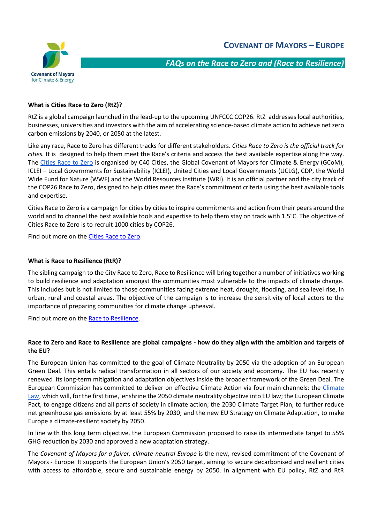

*FAQs on the Race to Zero and (Race to Resilience)* 

# **What is Cities Race to Zero (RtZ)?**

RtZ is a global campaign launched in the lead-up to the upcoming UNFCCC COP26. RtZ addresses local authorities, businesses, universities and investors with the aim of accelerating science-based climate action to achieve net zero carbon emissions by 2040, or 2050 at the latest.

Like any race, Race to Zero has different tracks for different stakeholders. *Cities Race to Zero is the official track for cities.* It is designed to help them meet the Race's criteria and access the best available expertise along the way. The [Cities Race to Zero](http://www.citiesracetozero.org/) is organised by C40 Cities, the Global Covenant of Mayors for Climate & Energy (GCoM), ICLEI – Local Governments for Sustainability (ICLEI), United Cities and Local Governments (UCLG), CDP, the World Wide Fund for Nature (WWF) and the World Resources Institute (WRI). It is an official partner and the city track of the COP26 Race to Zero, designed to help cities meet the Race's commitment criteria using the best available tools and expertise.

Cities Race to Zero is a campaign for cities by cities to inspire commitments and action from their peers around the world and to channel the best available tools and expertise to help them stay on track with 1.5°C. The objective of Cities Race to Zero is to recruit 1000 cities by COP26.

Find out more on the [Cities Race to Zero.](https://www.c40knowledgehub.org/s/cities-race-to-zero?language=en_US)

### **What is Race to Resilience (RtR)?**

The sibling campaign to the City Race to Zero, Race to Resilience will bring together a number of initiatives working to build resilience and adaptation amongst the communities most vulnerable to the impacts of climate change. This includes but is not limited to those communities facing extreme heat, drought, flooding, and sea level rise, in urban, rural and coastal areas. The objective of the campaign is to increase the sensitivity of local actors to the importance of preparing communities for climate change upheaval.

Find out more on the [Race to Resilience.](https://www.c40knowledgehub.org/s/cities-race-to-zero?language=en_US)

## **Race to Zero and Race to Resilience are global campaigns - how do they align with the ambition and targets of the EU?**

The European Union has committed to the goal of Climate Neutrality by 2050 via the adoption of an European Green Deal. This entails radical transformation in all sectors of our society and economy. The EU has recently renewed its long-term mitigation and adaptation objectives inside the broader framework of the Green Deal. The European Commission has committed to deliver on effective Climate Action via four main channels: the [Climate](https://ec.europa.eu/clima/policies/eu-climate-action/law_en)  [Law,](https://ec.europa.eu/clima/policies/eu-climate-action/law_en) which will, for the first time, enshrine the 2050 climate neutrality objective into EU law; the European Climate [Pact,](https://ec.europa.eu/clima/policies/eu-climate-action/pact_en) to engage citizens and all parts of society in climate action; the [2030 Climate Target Plan,](https://ec.europa.eu/clima/policies/eu-climate-action/2030_ctp_en) to further reduce net greenhouse gas emissions by at least 55% by 2030; and the new [EU Strategy on Climate Adaptation,](https://ec.europa.eu/clima/policies/adaptation/what_en) to make Europe a climate-resilient society by 2050.

In line with this long term objective, the European Commission proposed to raise its intermediate target to 55% GHG reduction by 2030 and approved a new adaptation strategy.

The *Covenant of Mayors for a fairer, climate-neutral Europe* is the new, revised commitment of the Covenant of Mayors - Europe. It supports the European Union's 2050 target, aiming to secure decarbonised and resilient cities with access to affordable, secure and sustainable energy by 2050. In alignment with EU policy, RtZ and RtR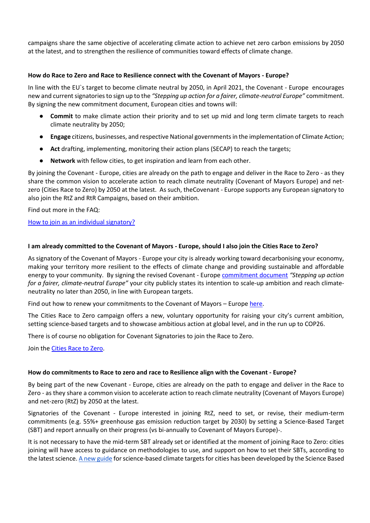campaigns share the same objective of accelerating climate action to achieve net zero carbon emissions by 2050 at the latest, and to strengthen the resilience of communities toward effects of climate change.

## **How do Race to Zero and Race to Resilience connect with the Covenant of Mayors - Europe?**

In line with the EU`s target to become climate neutral by 2050, in April 2021, the Covenant - Europe encourages new and current signatories to sign up to the *"Stepping up action for a fairer, climate-neutral Europe"* commitment. By signing the new commitment document, European cities and towns will:

- **Commit** to make climate action their priority and to set up mid and long term climate targets to reach climate neutrality by 2050;
- **Engage** citizens, businesses, and respective National governments in the implementation of Climate Action;
- **Act** drafting, implementing, monitoring their action plans (SECAP) to reach the targets;
- Network with fellow cities, to get inspiration and learn from each other.

By joining the Covenant - Europe, cities are already on the path to engage and deliver in the Race to Zero - as they share the common vision to accelerate action to reach climate neutrality (Covenant of Mayors Europe) and netzero (Cities Race to Zero) by 2050 at the latest. As such, theCovenant - Europe supports any European signatory to also join the RtZ and RtR Campaigns, based on their ambition.

Find out more in the FAQ:

[How to join as an individual signatory?](https://eumayors.eu/FAQs_2021.pdf)

## **I am already committed to the Covenant of Mayors - Europe, should I also join the Cities Race to Zero?**

As signatory of the Covenant of Mayors - Europe your city is already working toward decarbonising your economy, making your territory more resilient to the effects of climate change and providing sustainable and affordable energy to your community. By signing the revised Covenant - Europe [commitment document](https://www.covenantofmayors.eu/index.php?option=com_attachments&task=download&id=1017) *"Stepping up action for a fairer, climate-neutral Europe"* your city publicly states its intention to scale-up ambition and reach climateneutrality no later than 2050, in line with European targets.

Find out how to renew your commitments to the Covenant of Mayors – Europ[e here.](https://eumayors.eu/FAQs_2021.pdf)

The Cities Race to Zero campaign offers a new, voluntary opportunity for raising your city's current ambition, setting science-based targets and to showcase ambitious action at global level, and in the run up to COP26.

There is of course no obligation for Covenant Signatories to join the Race to Zero.

Join the [Cities Race to Zero.](https://www.c40knowledgehub.org/s/cities-race-to-zero?language=en_US)

# **How do commitments to Race to zero and race to Resilience align with the Covenant - Europe?**

By being part of the new Covenant - Europe, cities are already on the path to engage and deliver in the Race to Zero - as they share a common vision to accelerate action to reach climate neutrality (Covenant of Mayors Europe) and net-zero (RtZ) by 2050 at the latest.

Signatories of the Covenant - Europe interested in joining RtZ, need to set, or revise, their medium-term commitments (e.g. 55%+ greenhouse gas emission reduction target by 2030) by setting a Science-Based Target (SBT) and report annually on their progress (vs bi-annually to Covenant of Mayors Europe)-.

It is not necessary to have the mid-term SBT already set or identified at the moment of joining Race to Zero: cities joining will have access to guidance on methodologies to use, and support on how to set their SBTs, according to the latest science[. A new guide](https://sciencebasedtargetsnetwork.org/resources/climate-tools-for-cities/) for science-based climate targets for cities has been developed by the Science Based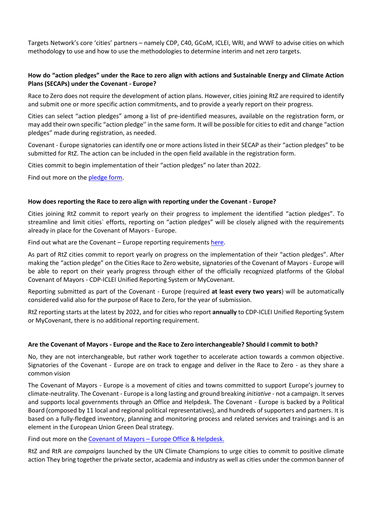Targets Network's core 'cities' partners – namely CDP, C40, GCoM, ICLEI, WRI, and WWF to advise cities on which methodology to use and how to use the methodologies to determine interim and net zero targets.

## **How do "action pledges" under the Race to zero align with actions and Sustainable Energy and Climate Action Plans (SECAPs) under the Covenant - Europe?**

Race to Zero does not require the development of action plans. However, cities joining RtZ are required to identify and submit one or more specific action commitments, and to provide a yearly report on their progress.

Cities can select "action pledges" among a list of pre-identified measures, available on the registration form, or may add their own specific "action pledge'' in the same form. It will be possible for cities to edit and change "action pledges" made during registration, as needed.

Covenant - Europe signatories can identify one or more actions listed in their SECAP as their "action pledges" to be submitted for RtZ. The action can be included in the open field available in the registration form.

Cities commit to begin implementation of their "action pledges" no later than 2022.

Find out more on th[e pledge form.](https://www.c40knowledgehub.org/s/race-to-zero-pledge-form?language=en_US)

### **How does reporting the Race to zero align with reporting under the Covenant - Europe?**

Cities joining RtZ commit to report yearly on their progress to implement the identified "action pledges". To streamline and limit cities` efforts, reporting on "action pledges" will be closely aligned with the requirements already in place for the Covenant of Mayors - Europe.

Find out what are the Covenant – Europe reporting requirements [here.](https://eumayors.eu/FAQs_2021.pdf)

As part of RtZ cities commit to report yearly on progress on the implementation of their "action pledges". After making the "action pledge" on the Cities Race to Zero website, signatories of the Covenant of Mayors - Europe will be able to report on their yearly progress through either of the officially recognized platforms of the Global Covenant of Mayors - CDP-ICLEI Unified Reporting System or MyCovenant.

Reporting submitted as part of the Covenant - Europe (required **at least every two years**) will be automatically considered valid also for the purpose of Race to Zero, for the year of submission.

RtZ reporting starts at the latest by 2022, and for cities who report **annually** to CDP-ICLEI Unified Reporting System or MyCovenant, there is no additional reporting requirement.

#### **Are the Covenant of Mayors - Europe and the Race to Zero interchangeable? Should I commit to both?**

No, they are not interchangeable, but rather work together to accelerate action towards a common objective. Signatories of the Covenant - Europe are on track to engage and deliver in the Race to Zero - as they share a common vision

The Covenant of Mayors - Europe is a movement of cities and towns committed to support Europe's journey to climate-neutrality. The Covenant - Europe is a long lasting and ground breaking *initiative* - not a campaign. It serves and supports local governments through an Office and Helpdesk. The Covenant - Europe is backed by a Political Board (composed by 11 local and regional political representatives), and hundreds of supporters and partners. It is based on a fully-fledged inventory, planning and monitoring process and related services and trainings and is an element in the European Union Green Deal strategy.

Find out more on the [Covenant of Mayors](https://eumayors.eu/FAQs_2021.pdf) – Europe Office & Helpdesk.

RtZ and RtR are *campaigns* launched by the UN Climate Champions to urge cities to commit to positive climate action They bring together the private sector, academia and industry as well as cities under the common banner of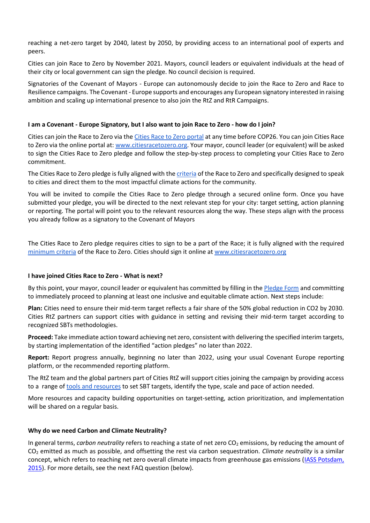reaching a net-zero target by 2040, latest by 2050, by providing access to an international pool of experts and peers.

Cities can join Race to Zero by November 2021. Mayors, council leaders or equivalent individuals at the head of their city or local government can sign the pledge. No council decision is required.

Signatories of the Covenant of Mayors - Europe can autonomously decide to join the Race to Zero and Race to Resilience campaigns. The Covenant - Europe supports and encourages any European signatory interested in raising ambition and scaling up international presence to also join the RtZ and RtR Campaigns.

## **I am a Covenant - Europe Signatory, but I also want to join Race to Zero - how do I join?**

Cities can join the Race to Zero via th[e Cities Race to Zero portal](https://www.c40knowledgehub.org/s/cities-race-to-zero?language=en_US) at any time before COP26. You can join Cities Race to Zero via the online portal at: [www.citiesracetozero.org.](http://www.citiesracetozero.org/) Your mayor, council leader (or equivalent) will be asked to sign the Cities Race to Zero pledge and follow the step-by-step process to completing your Cities Race to Zero commitment.

The Cities Race to Zero pledge is fully aligned with the [criteria](https://unfccc.int/sites/default/files/resource/Minimum-criteria-for-participation-in-RTZ.pdf) of the Race to Zero and specifically designed to speak to cities and direct them to the most impactful climate actions for the community.

You will be invited to compile the Cities Race to Zero pledge through a secured online form. Once you have submitted your pledge, you will be directed to the next relevant step for your city: target setting, action planning or reporting. The portal will point you to the relevant resources along the way. These steps align with the process you already follow as a signatory to the Covenant of Mayors

The Cities Race to Zero pledge requires cities to sign to be a part of the Race; it is fully aligned with the required [minimum criteria](https://unfccc.int/sites/default/files/resource/Minimum-criteria-for-participation-in-RTZ.pdf) of the Race to Zero. Cities should sign it online at [www.citiesracetozero.org](http://www.citiesracetozero.org/)

## **I have joined Cities Race to Zero - What is next?**

By this point, your mayor, council leader or equivalent has committed by filling in the [Pledge Form](https://www.c40knowledgehub.org/s/race-to-zero-pledge-form?language=en_US) and committing to immediately proceed to planning at least one inclusive and equitable climate action. Next steps include:

**Plan:** Cities need to ensure their mid-term target reflects a fair share of the 50% global reduction in CO2 by 2030. Cities RtZ partners can support cities with guidance in setting and revising their mid-term target according to recognized SBTs methodologies.

**Proceed:** Take immediate action toward achieving net zero, consistent with delivering the specified interim targets, by starting implementation of the identified "action pledges" no later than 2022.

**Report:** Report progress annually, beginning no later than 2022, using your usual Covenant Europe reporting platform, or the recommended reporting platform.

The RtZ team and the global partners part of Cities RtZ will support cities joining the campaign by providing access to a range o[f](https://www.c40knowledgehub.org/s/race-to-zero-thank-you) [tools and resources](https://www.c40knowledgehub.org/s/race-to-zero-thank-you) to set SBT targets, identify the type, scale and pace of action needed.

More resources and capacity building opportunities on target-setting, action prioritization, and implementation will be shared on a regular basis.

#### **Why do we need Carbon and Climate Neutrality?**

In general terms, *carbon neutrality* refers to reaching a state of net zero CO<sub>2</sub> emissions, by reducing the amount of CO<sup>2</sup> emitted as much as possible, and offsetting the rest via carbon sequestration. *Climate neutrality* is a similar concept, which refers to reaching net zero overall climate impacts from greenhouse gas emissions [\(IASS Potsdam,](https://www.iass-potsdam.de/sites/default/files/files/policy_brief_decarbonisation.pdf)  [2015\)](https://www.iass-potsdam.de/sites/default/files/files/policy_brief_decarbonisation.pdf). For more details, see the next FAQ question (below).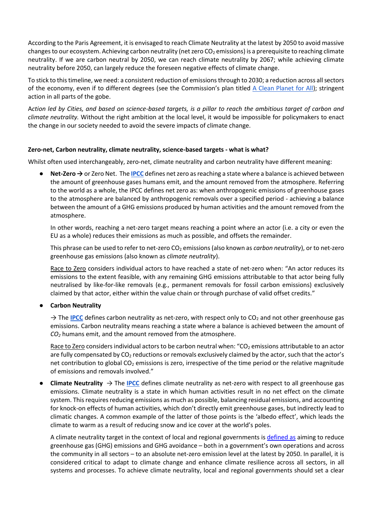According to the Paris Agreement, it is envisaged to reach Climate Neutrality at the latest by 2050 to avoid massive changes to our ecosystem. Achieving carbon neutrality (net zero  $CO<sub>2</sub>$  emissions) is a prerequisite to reaching climate neutrality. If we are carbon neutral by 2050, we can reach climate neutrality by 2067; while achieving climate neutrality before 2050, can largely reduce the foreseen negative effects of climate change.

To stick to this timeline, we need: a consistent reduction of emissions through to 2030; a reduction across all sectors of the economy, even if to different degrees (see the Commission's plan titled  $\triangle$  Clean Planet for All); stringent action in all parts of the gobe.

A*ction led by Cities, and based on science-based targets, is a pillar to reach the ambitious target of carbon and climate neutrality.* Without the right ambition at the local level, it would be impossible for policymakers to enact the change in our society needed to avoid the severe impacts of climate change.

## **Zero-net, Carbon neutrality, climate neutrality, science-based targets - what is what?**

Whilst often used interchangeably, zero-net, climate neutrality and carbon neutrality have different meaning:

● **Net-Zero →** or Zero Net. The **[IPCC](https://www.ipcc.ch/sr15/chapter/glossary/#:~:text=The%20zero%20emissions%20commitment%20is,setting%20anthropogenic%20emissions%20to%20zero.&text=The%20infrastructure%20commitment%20is%20the,end%20of%20its%20expected%20lifetime.)** defines net zero as reaching a state where a balance is achieved between the amount of greenhouse gases humans emit, and the amount removed from the atmosphere. Referring to the world as a whole, th[e IPCC](https://www.ipcc.ch/sr15/chapter/glossary/#:~:text=The%20zero%20emissions%20commitment%20is,setting%20anthropogenic%20emissions%20to%20zero.&text=The%20infrastructure%20commitment%20is%20the,end%20of%20its%20expected%20lifetime.) defines net zero as: when anthropogenic emissions of greenhouse gases to the atmosphere are balanced by anthropogenic removals over a specified period - achieving a balance between the amount of a GHG emissions produced by human activities and the amount removed from the atmosphere.

In other words, reaching a net-zero target means reaching a point where an actor (i.e. a city or even the EU as a whole) reduces their emissions as much as possible, and offsets the remainder.

This phrase can be used to refer to net-zero CO<sub>2</sub> emissions (also known as *carbon neutrality*), or to net-zero greenhouse gas emissions (also known as *climate neutrality*).

Race to Zero considers individual actors to have reached a state of net-zero when: "An actor reduces its emissions to the extent feasible, with any remaining GHG emissions attributable to that actor being fully neutralised by like-for-like removals (e.g., permanent removals for fossil carbon emissions) exclusively claimed by that actor, either within the value chain or through purchase of valid offset credits."

## ● **Carbon Neutrality**

 $\rightarrow$  The **[IPCC](https://www.ipcc.ch/sr15/chapter/glossary/#:~:text=The%20zero%20emissions%20commitment%20is,setting%20anthropogenic%20emissions%20to%20zero.&text=The%20infrastructure%20commitment%20is%20the,end%20of%20its%20expected%20lifetime.)** defines carbon neutrality as net-zero, with respect only to CO<sub>2</sub> and not other greenhouse gas emissions. Carbon neutrality means reaching a state where a balance is achieved between the amount of *CO<sup>2</sup>* humans emit, and the amount removed from the atmosphere.

Race to Zero considers individual actors to be carbon neutral when: "CO<sub>2</sub> emissions attributable to an actor are fully compensated by  $CO<sub>2</sub>$  reductions or removals exclusively claimed by the actor, such that the actor's net contribution to global  $CO<sub>2</sub>$  emissions is zero, irrespective of the time period or the relative magnitude of emissions and removals involved."

**Climate Neutrality**  $\rightarrow$  The **[IPCC](https://www.ipcc.ch/sr15/chapter/glossary/#:~:text=The%20zero%20emissions%20commitment%20is,setting%20anthropogenic%20emissions%20to%20zero.&text=The%20infrastructure%20commitment%20is%20the,end%20of%20its%20expected%20lifetime.)** defines climate neutrality as net-zero with respect to all greenhouse gas emissions. Climate neutrality is a state in which human activities result in no net effect on the climate system. This requires reducing emissions as much as possible, balancing residual emissions, and accounting for knock-on effects of human activities, which don't directly emit greenhouse gases, but indirectly lead to climatic changes. A common example of the latter of those points is the 'albedo effect', which leads the climate to warm as a result of reducing snow and ice cover at the world's poles.

A climate neutrality target in the context of local and regional governments i[s defined as](https://e-lib.iclei.org/publications/ICLEIs_Climate_Neutrality_Framework.pdf) aiming to reduce greenhouse gas (GHG) emissions and GHG avoidance – both in a government's own operations and across the community in all sectors – to an absolute net-zero emission level at the latest by 2050. In parallel, it is considered critical to adapt to climate change and enhance climate resilience across all sectors, in all systems and processes. To achieve climate neutrality, local and regional governments should set a clear